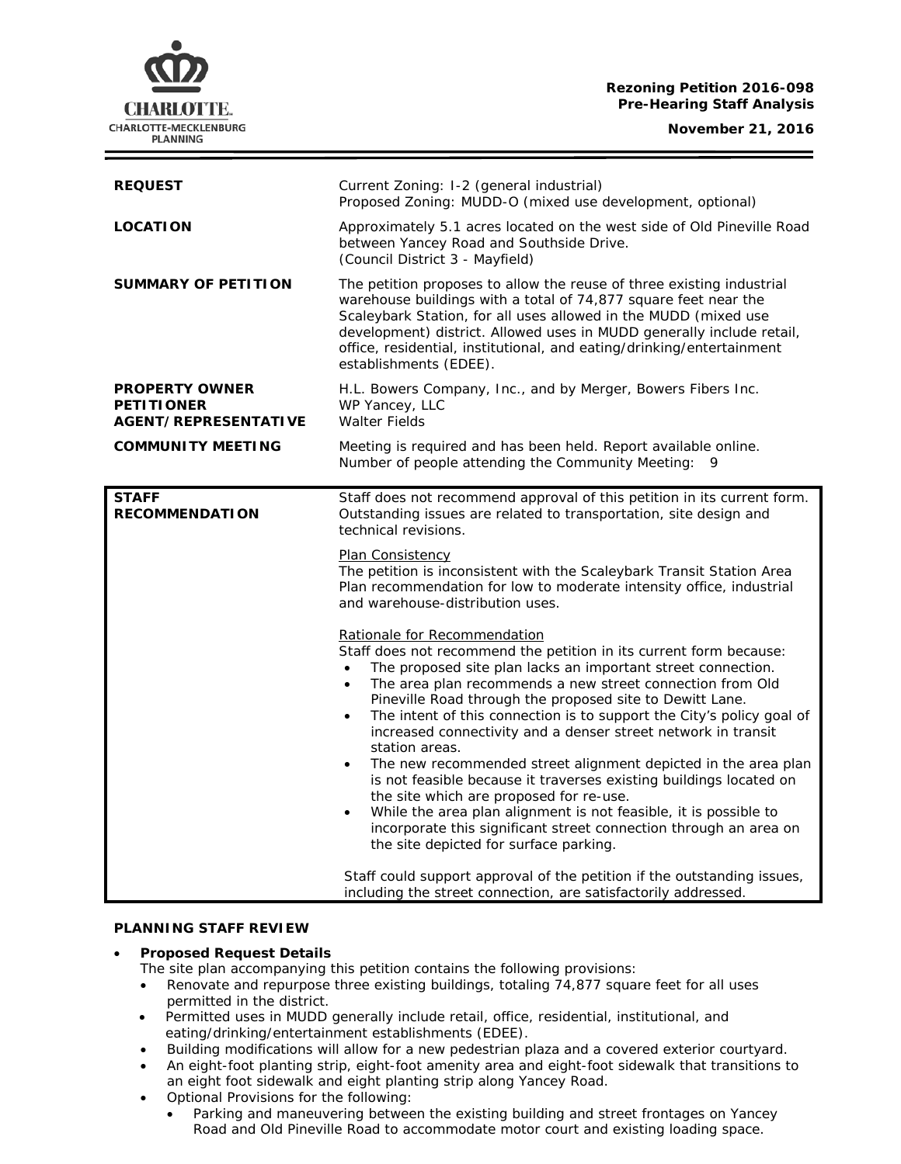## **Rezoning Petition 2016-098 Pre-Hearing Staff Analysis**

**November 21, 2016**



| <b>REQUEST</b>                                                            | Current Zoning: I-2 (general industrial)<br>Proposed Zoning: MUDD-O (mixed use development, optional)                                                                                                                                                                                                                                                                                                                                                                                                                                                                                                                                                                                                                                                                                                                                                                                                                                                                                                                                                                                                                                                                                                                                                                                                                                                |
|---------------------------------------------------------------------------|------------------------------------------------------------------------------------------------------------------------------------------------------------------------------------------------------------------------------------------------------------------------------------------------------------------------------------------------------------------------------------------------------------------------------------------------------------------------------------------------------------------------------------------------------------------------------------------------------------------------------------------------------------------------------------------------------------------------------------------------------------------------------------------------------------------------------------------------------------------------------------------------------------------------------------------------------------------------------------------------------------------------------------------------------------------------------------------------------------------------------------------------------------------------------------------------------------------------------------------------------------------------------------------------------------------------------------------------------|
| <b>LOCATION</b>                                                           | Approximately 5.1 acres located on the west side of Old Pineville Road<br>between Yancey Road and Southside Drive.<br>(Council District 3 - Mayfield)                                                                                                                                                                                                                                                                                                                                                                                                                                                                                                                                                                                                                                                                                                                                                                                                                                                                                                                                                                                                                                                                                                                                                                                                |
| <b>SUMMARY OF PETITION</b>                                                | The petition proposes to allow the reuse of three existing industrial<br>warehouse buildings with a total of 74,877 square feet near the<br>Scaleybark Station, for all uses allowed in the MUDD (mixed use<br>development) district. Allowed uses in MUDD generally include retail,<br>office, residential, institutional, and eating/drinking/entertainment<br>establishments (EDEE).                                                                                                                                                                                                                                                                                                                                                                                                                                                                                                                                                                                                                                                                                                                                                                                                                                                                                                                                                              |
| <b>PROPERTY OWNER</b><br><b>PETITIONER</b><br><b>AGENT/REPRESENTATIVE</b> | H.L. Bowers Company, Inc., and by Merger, Bowers Fibers Inc.<br>WP Yancey, LLC<br><b>Walter Fields</b>                                                                                                                                                                                                                                                                                                                                                                                                                                                                                                                                                                                                                                                                                                                                                                                                                                                                                                                                                                                                                                                                                                                                                                                                                                               |
| <b>COMMUNITY MEETING</b>                                                  | Meeting is required and has been held. Report available online.<br>Number of people attending the Community Meeting:<br>9                                                                                                                                                                                                                                                                                                                                                                                                                                                                                                                                                                                                                                                                                                                                                                                                                                                                                                                                                                                                                                                                                                                                                                                                                            |
| <b>STAFF</b><br><b>RECOMMENDATION</b>                                     | Staff does not recommend approval of this petition in its current form.<br>Outstanding issues are related to transportation, site design and<br>technical revisions.<br><b>Plan Consistency</b><br>The petition is inconsistent with the Scaleybark Transit Station Area<br>Plan recommendation for low to moderate intensity office, industrial<br>and warehouse-distribution uses.<br>Rationale for Recommendation<br>Staff does not recommend the petition in its current form because:<br>The proposed site plan lacks an important street connection.<br>$\bullet$<br>The area plan recommends a new street connection from Old<br>$\bullet$<br>Pineville Road through the proposed site to Dewitt Lane.<br>The intent of this connection is to support the City's policy goal of<br>$\bullet$<br>increased connectivity and a denser street network in transit<br>station areas.<br>The new recommended street alignment depicted in the area plan<br>$\bullet$<br>is not feasible because it traverses existing buildings located on<br>the site which are proposed for re-use.<br>While the area plan alignment is not feasible, it is possible to<br>incorporate this significant street connection through an area on<br>the site depicted for surface parking.<br>Staff could support approval of the petition if the outstanding issues, |
|                                                                           | including the street connection, are satisfactorily addressed.                                                                                                                                                                                                                                                                                                                                                                                                                                                                                                                                                                                                                                                                                                                                                                                                                                                                                                                                                                                                                                                                                                                                                                                                                                                                                       |

## **PLANNING STAFF REVIEW**

# • **Proposed Request Details**

The site plan accompanying this petition contains the following provisions:

- Renovate and repurpose three existing buildings, totaling 74,877 square feet for all uses permitted in the district.
- Permitted uses in MUDD generally include retail, office, residential, institutional, and eating/drinking/entertainment establishments (EDEE).
- Building modifications will allow for a new pedestrian plaza and a covered exterior courtyard.
- An eight-foot planting strip, eight-foot amenity area and eight-foot sidewalk that transitions to an eight foot sidewalk and eight planting strip along Yancey Road.
- Optional Provisions for the following:
	- Parking and maneuvering between the existing building and street frontages on Yancey Road and Old Pineville Road to accommodate motor court and existing loading space.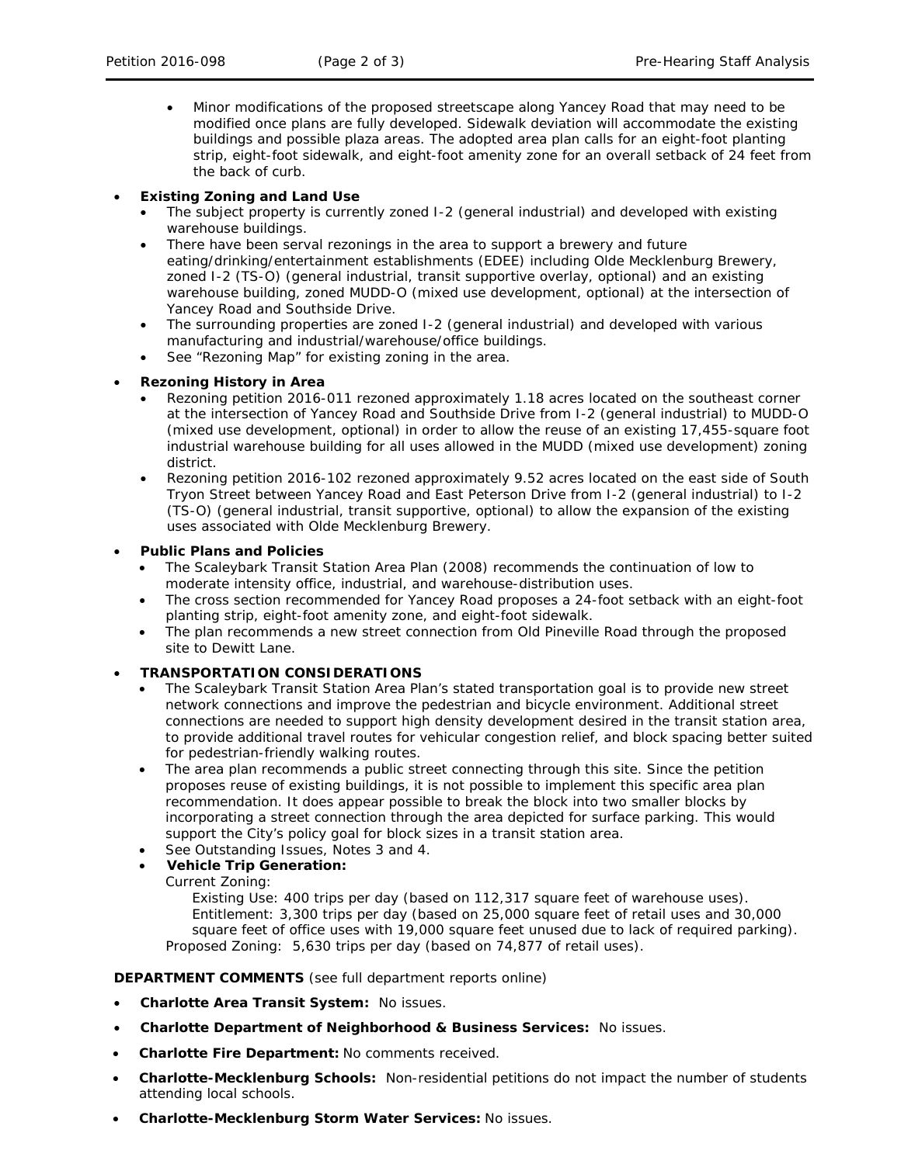• Minor modifications of the proposed streetscape along Yancey Road that may need to be modified once plans are fully developed. Sidewalk deviation will accommodate the existing buildings and possible plaza areas. The adopted area plan calls for an eight-foot planting strip, eight-foot sidewalk, and eight-foot amenity zone for an overall setback of 24 feet from the back of curb.

## • **Existing Zoning and Land Use**

- The subject property is currently zoned I-2 (general industrial) and developed with existing warehouse buildings.
- There have been serval rezonings in the area to support a brewery and future eating/drinking/entertainment establishments (EDEE) including Olde Mecklenburg Brewery, zoned I-2 (TS-O) (general industrial, transit supportive overlay, optional) and an existing warehouse building, zoned MUDD-O (mixed use development, optional) at the intersection of Yancey Road and Southside Drive.
- The surrounding properties are zoned I-2 (general industrial) and developed with various manufacturing and industrial/warehouse/office buildings.
- See "Rezoning Map" for existing zoning in the area.

# • **Rezoning History in Area**

- Rezoning petition 2016-011 rezoned approximately 1.18 acres located on the southeast corner at the intersection of Yancey Road and Southside Drive from I-2 (general industrial) to MUDD-O (mixed use development, optional) in order to allow the reuse of an existing 17,455-square foot industrial warehouse building for all uses allowed in the MUDD (mixed use development) zoning district.
- Rezoning petition 2016-102 rezoned approximately 9.52 acres located on the east side of South Tryon Street between Yancey Road and East Peterson Drive from I-2 (general industrial) to I-2 (TS-O) (general industrial, transit supportive, optional) to allow the expansion of the existing uses associated with Olde Mecklenburg Brewery.

## • **Public Plans and Policies**

- The *Scaleybark Transit Station Area Plan* (2008) recommends the continuation of low to moderate intensity office, industrial, and warehouse-distribution uses.
- The cross section recommended for Yancey Road proposes a 24-foot setback with an eight-foot planting strip, eight-foot amenity zone, and eight-foot sidewalk.
- The plan recommends a new street connection from Old Pineville Road through the proposed site to Dewitt Lane.

## • **TRANSPORTATION CONSIDERATIONS**

- The *Scaleybark Transit Station Area Plan's* stated transportation goal is to provide new street network connections and improve the pedestrian and bicycle environment. Additional street connections are needed to support high density development desired in the transit station area, to provide additional travel routes for vehicular congestion relief, and block spacing better suited for pedestrian-friendly walking routes.
- The area plan recommends a public street connecting through this site. Since the petition proposes reuse of existing buildings, it is not possible to implement this specific area plan recommendation. It does appear possible to break the block into two smaller blocks by incorporating a street connection through the area depicted for surface parking. This would support the City's policy goal for block sizes in a transit station area.
- See Outstanding Issues, Notes 3 and 4.
- **Vehicle Trip Generation:**

Current Zoning:

Existing Use: 400 trips per day (based on 112,317 square feet of warehouse uses). Entitlement: 3,300 trips per day (based on 25,000 square feet of retail uses and 30,000 square feet of office uses with 19,000 square feet unused due to lack of required parking). Proposed Zoning: 5,630 trips per day (based on 74,877 of retail uses).

# **DEPARTMENT COMMENTS** (see full department reports online)

- **Charlotte Area Transit System:** No issues.
- **Charlotte Department of Neighborhood & Business Services:** No issues.
- **Charlotte Fire Department:** No comments received.
- **Charlotte-Mecklenburg Schools:** Non-residential petitions do not impact the number of students attending local schools.
- **Charlotte-Mecklenburg Storm Water Services:** No issues.